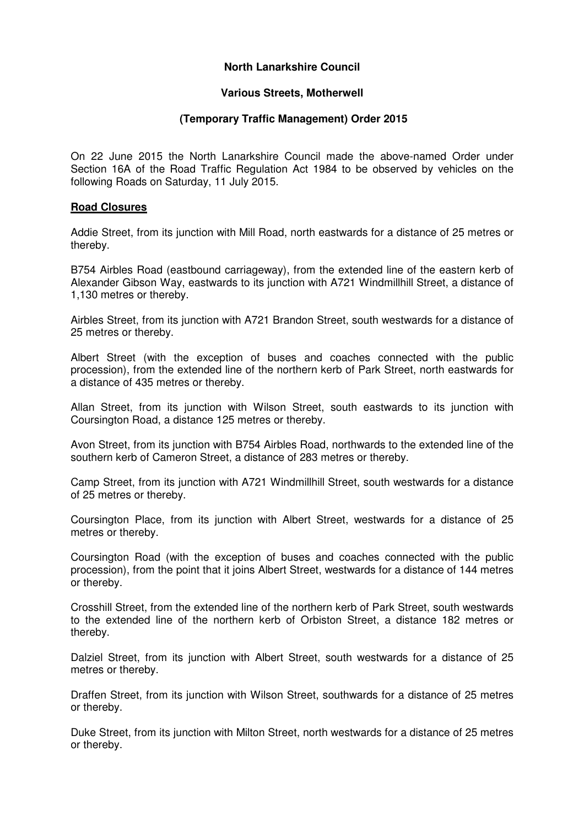# **North Lanarkshire Council**

### **Various Streets, Motherwell**

### **(Temporary Traffic Management) Order 2015**

On 22 June 2015 the North Lanarkshire Council made the above-named Order under Section 16A of the Road Traffic Regulation Act 1984 to be observed by vehicles on the following Roads on Saturday, 11 July 2015.

### **Road Closures**

Addie Street, from its junction with Mill Road, north eastwards for a distance of 25 metres or thereby.

B754 Airbles Road (eastbound carriageway), from the extended line of the eastern kerb of Alexander Gibson Way, eastwards to its junction with A721 Windmillhill Street, a distance of 1,130 metres or thereby.

Airbles Street, from its junction with A721 Brandon Street, south westwards for a distance of 25 metres or thereby.

Albert Street (with the exception of buses and coaches connected with the public procession), from the extended line of the northern kerb of Park Street, north eastwards for a distance of 435 metres or thereby.

Allan Street, from its junction with Wilson Street, south eastwards to its junction with Coursington Road, a distance 125 metres or thereby.

Avon Street, from its junction with B754 Airbles Road, northwards to the extended line of the southern kerb of Cameron Street, a distance of 283 metres or thereby.

Camp Street, from its junction with A721 Windmillhill Street, south westwards for a distance of 25 metres or thereby.

Coursington Place, from its junction with Albert Street, westwards for a distance of 25 metres or thereby.

Coursington Road (with the exception of buses and coaches connected with the public procession), from the point that it joins Albert Street, westwards for a distance of 144 metres or thereby.

Crosshill Street, from the extended line of the northern kerb of Park Street, south westwards to the extended line of the northern kerb of Orbiston Street, a distance 182 metres or thereby.

Dalziel Street, from its junction with Albert Street, south westwards for a distance of 25 metres or thereby.

Draffen Street, from its junction with Wilson Street, southwards for a distance of 25 metres or thereby.

Duke Street, from its junction with Milton Street, north westwards for a distance of 25 metres or thereby.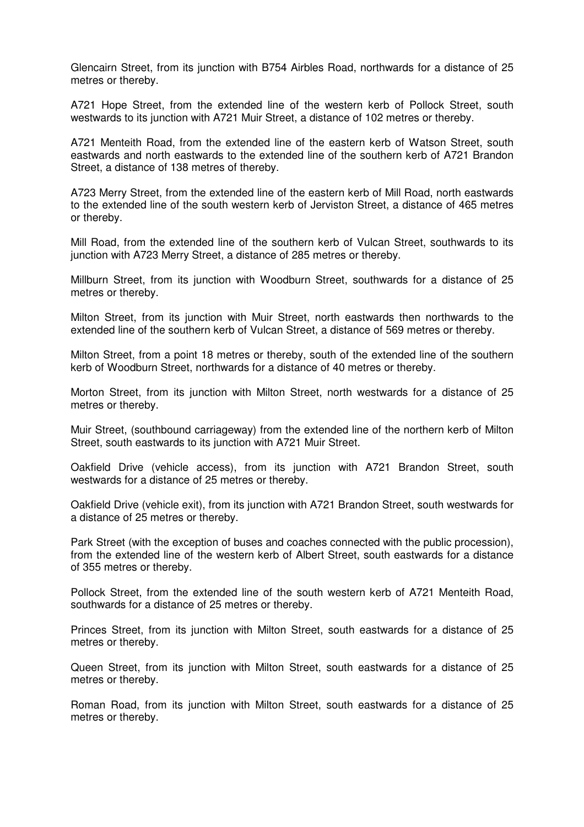Glencairn Street, from its junction with B754 Airbles Road, northwards for a distance of 25 metres or thereby.

A721 Hope Street, from the extended line of the western kerb of Pollock Street, south westwards to its junction with A721 Muir Street, a distance of 102 metres or thereby.

A721 Menteith Road, from the extended line of the eastern kerb of Watson Street, south eastwards and north eastwards to the extended line of the southern kerb of A721 Brandon Street, a distance of 138 metres of thereby.

A723 Merry Street, from the extended line of the eastern kerb of Mill Road, north eastwards to the extended line of the south western kerb of Jerviston Street, a distance of 465 metres or thereby.

Mill Road, from the extended line of the southern kerb of Vulcan Street, southwards to its junction with A723 Merry Street, a distance of 285 metres or thereby.

Millburn Street, from its junction with Woodburn Street, southwards for a distance of 25 metres or thereby.

Milton Street, from its junction with Muir Street, north eastwards then northwards to the extended line of the southern kerb of Vulcan Street, a distance of 569 metres or thereby.

Milton Street, from a point 18 metres or thereby, south of the extended line of the southern kerb of Woodburn Street, northwards for a distance of 40 metres or thereby.

Morton Street, from its junction with Milton Street, north westwards for a distance of 25 metres or thereby.

Muir Street, (southbound carriageway) from the extended line of the northern kerb of Milton Street, south eastwards to its junction with A721 Muir Street.

Oakfield Drive (vehicle access), from its junction with A721 Brandon Street, south westwards for a distance of 25 metres or thereby.

Oakfield Drive (vehicle exit), from its junction with A721 Brandon Street, south westwards for a distance of 25 metres or thereby.

Park Street (with the exception of buses and coaches connected with the public procession), from the extended line of the western kerb of Albert Street, south eastwards for a distance of 355 metres or thereby.

Pollock Street, from the extended line of the south western kerb of A721 Menteith Road, southwards for a distance of 25 metres or thereby.

Princes Street, from its junction with Milton Street, south eastwards for a distance of 25 metres or thereby.

Queen Street, from its junction with Milton Street, south eastwards for a distance of 25 metres or thereby.

Roman Road, from its junction with Milton Street, south eastwards for a distance of 25 metres or thereby.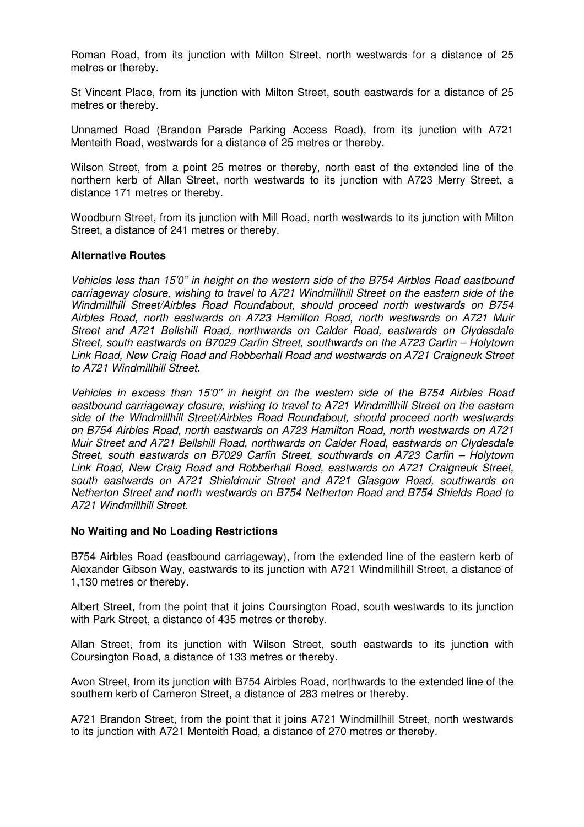Roman Road, from its junction with Milton Street, north westwards for a distance of 25 metres or thereby.

St Vincent Place, from its junction with Milton Street, south eastwards for a distance of 25 metres or thereby.

Unnamed Road (Brandon Parade Parking Access Road), from its junction with A721 Menteith Road, westwards for a distance of 25 metres or thereby.

Wilson Street, from a point 25 metres or thereby, north east of the extended line of the northern kerb of Allan Street, north westwards to its junction with A723 Merry Street, a distance 171 metres or thereby.

Woodburn Street, from its junction with Mill Road, north westwards to its junction with Milton Street, a distance of 241 metres or thereby.

### **Alternative Routes**

Vehicles less than 15'0'' in height on the western side of the B754 Airbles Road eastbound carriageway closure, wishing to travel to A721 Windmillhill Street on the eastern side of the Windmillhill Street/Airbles Road Roundabout, should proceed north westwards on B754 Airbles Road, north eastwards on A723 Hamilton Road, north westwards on A721 Muir Street and A721 Bellshill Road, northwards on Calder Road, eastwards on Clydesdale Street, south eastwards on B7029 Carfin Street, southwards on the A723 Carfin – Holytown Link Road, New Craig Road and Robberhall Road and westwards on A721 Craigneuk Street to A721 Windmillhill Street.

Vehicles in excess than 15'0'' in height on the western side of the B754 Airbles Road eastbound carriageway closure, wishing to travel to A721 Windmillhill Street on the eastern side of the Windmillhill Street/Airbles Road Roundabout, should proceed north westwards on B754 Airbles Road, north eastwards on A723 Hamilton Road, north westwards on A721 Muir Street and A721 Bellshill Road, northwards on Calder Road, eastwards on Clydesdale Street, south eastwards on B7029 Carfin Street, southwards on A723 Carfin – Holytown Link Road, New Craig Road and Robberhall Road, eastwards on A721 Craigneuk Street, south eastwards on A721 Shieldmuir Street and A721 Glasgow Road, southwards on Netherton Street and north westwards on B754 Netherton Road and B754 Shields Road to A721 Windmillhill Street.

#### **No Waiting and No Loading Restrictions**

B754 Airbles Road (eastbound carriageway), from the extended line of the eastern kerb of Alexander Gibson Way, eastwards to its junction with A721 Windmillhill Street, a distance of 1,130 metres or thereby.

Albert Street, from the point that it joins Coursington Road, south westwards to its junction with Park Street, a distance of 435 metres or thereby.

Allan Street, from its junction with Wilson Street, south eastwards to its junction with Coursington Road, a distance of 133 metres or thereby.

Avon Street, from its junction with B754 Airbles Road, northwards to the extended line of the southern kerb of Cameron Street, a distance of 283 metres or thereby.

A721 Brandon Street, from the point that it joins A721 Windmillhill Street, north westwards to its junction with A721 Menteith Road, a distance of 270 metres or thereby.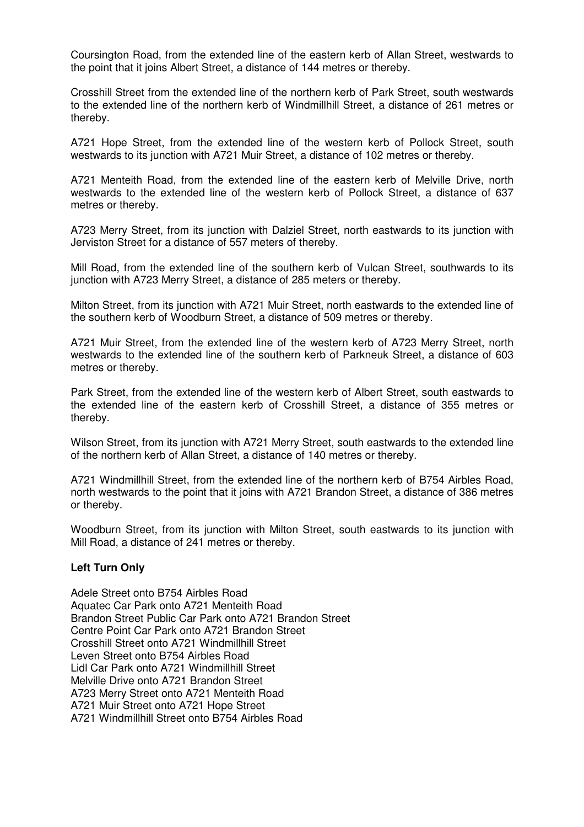Coursington Road, from the extended line of the eastern kerb of Allan Street, westwards to the point that it joins Albert Street, a distance of 144 metres or thereby.

Crosshill Street from the extended line of the northern kerb of Park Street, south westwards to the extended line of the northern kerb of Windmillhill Street, a distance of 261 metres or thereby.

A721 Hope Street, from the extended line of the western kerb of Pollock Street, south westwards to its junction with A721 Muir Street, a distance of 102 metres or thereby.

A721 Menteith Road, from the extended line of the eastern kerb of Melville Drive, north westwards to the extended line of the western kerb of Pollock Street, a distance of 637 metres or thereby.

A723 Merry Street, from its junction with Dalziel Street, north eastwards to its junction with Jerviston Street for a distance of 557 meters of thereby.

Mill Road, from the extended line of the southern kerb of Vulcan Street, southwards to its junction with A723 Merry Street, a distance of 285 meters or thereby.

Milton Street, from its junction with A721 Muir Street, north eastwards to the extended line of the southern kerb of Woodburn Street, a distance of 509 metres or thereby.

A721 Muir Street, from the extended line of the western kerb of A723 Merry Street, north westwards to the extended line of the southern kerb of Parkneuk Street, a distance of 603 metres or thereby.

Park Street, from the extended line of the western kerb of Albert Street, south eastwards to the extended line of the eastern kerb of Crosshill Street, a distance of 355 metres or thereby.

Wilson Street, from its junction with A721 Merry Street, south eastwards to the extended line of the northern kerb of Allan Street, a distance of 140 metres or thereby.

A721 Windmillhill Street, from the extended line of the northern kerb of B754 Airbles Road, north westwards to the point that it joins with A721 Brandon Street, a distance of 386 metres or thereby.

Woodburn Street, from its junction with Milton Street, south eastwards to its junction with Mill Road, a distance of 241 metres or thereby.

#### **Left Turn Only**

Adele Street onto B754 Airbles Road Aquatec Car Park onto A721 Menteith Road Brandon Street Public Car Park onto A721 Brandon Street Centre Point Car Park onto A721 Brandon Street Crosshill Street onto A721 Windmillhill Street Leven Street onto B754 Airbles Road Lidl Car Park onto A721 Windmillhill Street Melville Drive onto A721 Brandon Street A723 Merry Street onto A721 Menteith Road A721 Muir Street onto A721 Hope Street A721 Windmillhill Street onto B754 Airbles Road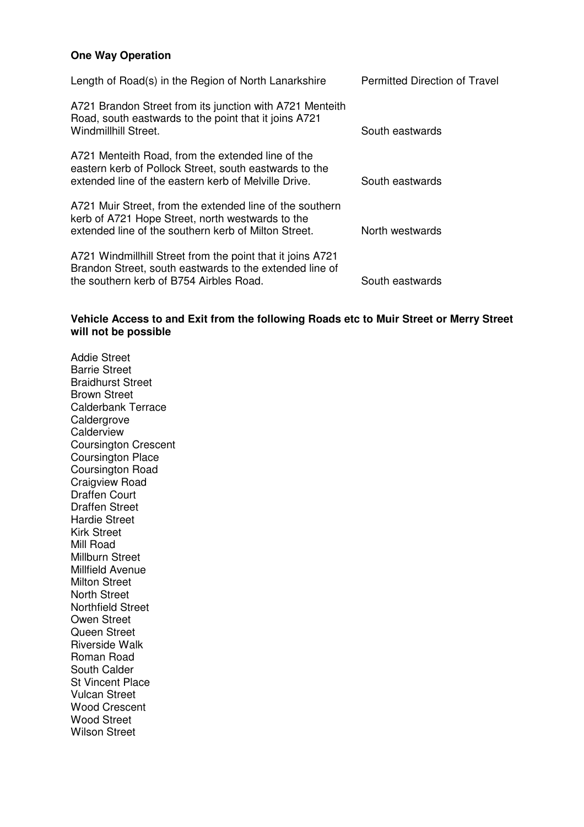# **One Way Operation**

| Length of Road(s) in the Region of North Lanarkshire                                                                                                                 | <b>Permitted Direction of Travel</b> |
|----------------------------------------------------------------------------------------------------------------------------------------------------------------------|--------------------------------------|
| A721 Brandon Street from its junction with A721 Menteith<br>Road, south eastwards to the point that it joins A721<br>Windmillhill Street.                            | South eastwards                      |
| A721 Menteith Road, from the extended line of the<br>eastern kerb of Pollock Street, south eastwards to the<br>extended line of the eastern kerb of Melville Drive.  | South eastwards                      |
| A721 Muir Street, from the extended line of the southern<br>kerb of A721 Hope Street, north westwards to the<br>extended line of the southern kerb of Milton Street. | North westwards                      |
| A721 Windmillhill Street from the point that it joins A721<br>Brandon Street, south eastwards to the extended line of<br>the southern kerb of B754 Airbles Road.     | South eastwards                      |

# **Vehicle Access to and Exit from the following Roads etc to Muir Street or Merry Street will not be possible**

Addie Street Barrie Street Braidhurst Street Brown Street Calderbank Terrace **Caldergrove Calderview** Coursington Crescent Coursington Place Coursington Road Craigview Road Draffen Court Draffen Street Hardie Street Kirk Street Mill Road Millburn Street Millfield Avenue Milton Street North Street Northfield Street Owen Street Queen Street Riverside Walk Roman Road South Calder St Vincent Place Vulcan Street Wood Crescent Wood Street Wilson Street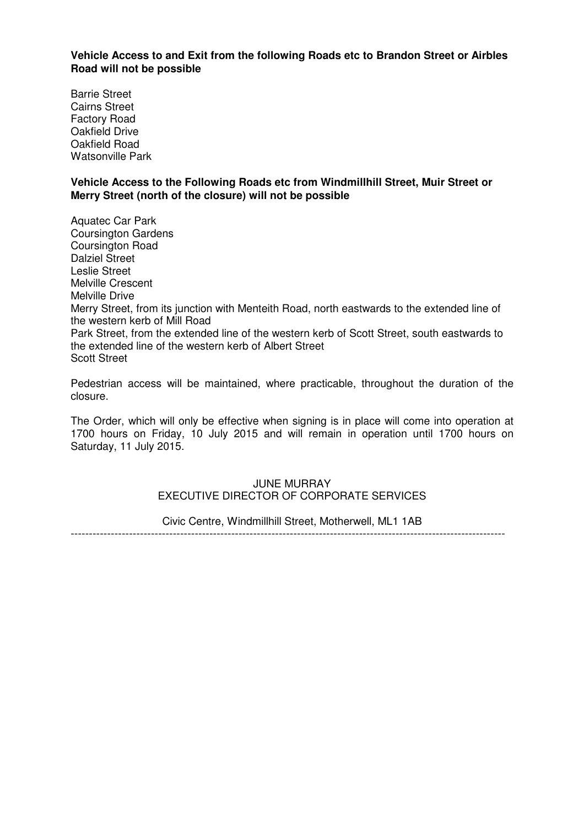**Vehicle Access to and Exit from the following Roads etc to Brandon Street or Airbles Road will not be possible** 

Barrie Street Cairns Street Factory Road Oakfield Drive Oakfield Road Watsonville Park

### **Vehicle Access to the Following Roads etc from Windmillhill Street, Muir Street or Merry Street (north of the closure) will not be possible**

Aquatec Car Park Coursington Gardens Coursington Road Dalziel Street Leslie Street Melville Crescent Melville Drive Merry Street, from its junction with Menteith Road, north eastwards to the extended line of the western kerb of Mill Road Park Street, from the extended line of the western kerb of Scott Street, south eastwards to the extended line of the western kerb of Albert Street Scott Street

Pedestrian access will be maintained, where practicable, throughout the duration of the closure.

The Order, which will only be effective when signing is in place will come into operation at 1700 hours on Friday, 10 July 2015 and will remain in operation until 1700 hours on Saturday, 11 July 2015.

### JUNE MURRAY EXECUTIVE DIRECTOR OF CORPORATE SERVICES

Civic Centre, Windmillhill Street, Motherwell, ML1 1AB

-----------------------------------------------------------------------------------------------------------------------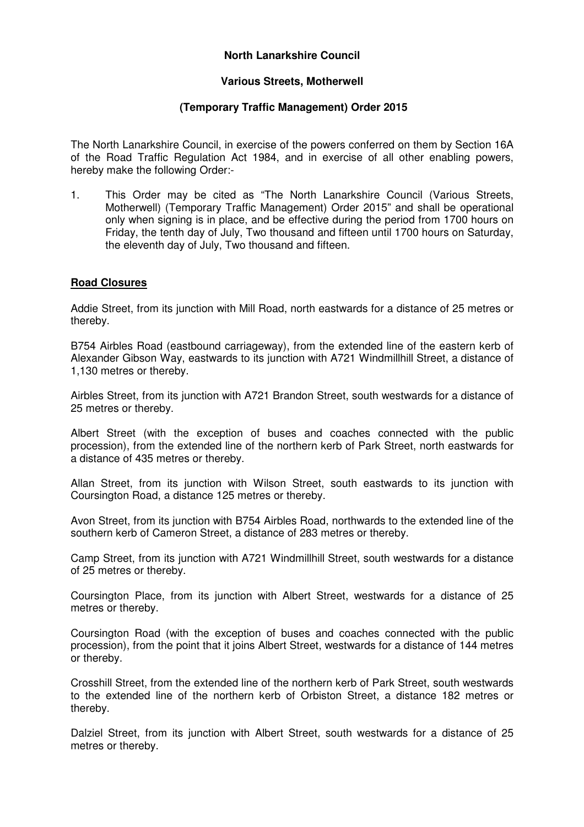# **North Lanarkshire Council**

### **Various Streets, Motherwell**

## **(Temporary Traffic Management) Order 2015**

The North Lanarkshire Council, in exercise of the powers conferred on them by Section 16A of the Road Traffic Regulation Act 1984, and in exercise of all other enabling powers, hereby make the following Order:-

1. This Order may be cited as "The North Lanarkshire Council (Various Streets, Motherwell) (Temporary Traffic Management) Order 2015" and shall be operational only when signing is in place, and be effective during the period from 1700 hours on Friday, the tenth day of July, Two thousand and fifteen until 1700 hours on Saturday, the eleventh day of July, Two thousand and fifteen.

### **Road Closures**

Addie Street, from its junction with Mill Road, north eastwards for a distance of 25 metres or thereby.

B754 Airbles Road (eastbound carriageway), from the extended line of the eastern kerb of Alexander Gibson Way, eastwards to its junction with A721 Windmillhill Street, a distance of 1,130 metres or thereby.

Airbles Street, from its junction with A721 Brandon Street, south westwards for a distance of 25 metres or thereby.

Albert Street (with the exception of buses and coaches connected with the public procession), from the extended line of the northern kerb of Park Street, north eastwards for a distance of 435 metres or thereby.

Allan Street, from its junction with Wilson Street, south eastwards to its junction with Coursington Road, a distance 125 metres or thereby.

Avon Street, from its junction with B754 Airbles Road, northwards to the extended line of the southern kerb of Cameron Street, a distance of 283 metres or thereby.

Camp Street, from its junction with A721 Windmillhill Street, south westwards for a distance of 25 metres or thereby.

Coursington Place, from its junction with Albert Street, westwards for a distance of 25 metres or thereby.

Coursington Road (with the exception of buses and coaches connected with the public procession), from the point that it joins Albert Street, westwards for a distance of 144 metres or thereby.

Crosshill Street, from the extended line of the northern kerb of Park Street, south westwards to the extended line of the northern kerb of Orbiston Street, a distance 182 metres or thereby.

Dalziel Street, from its junction with Albert Street, south westwards for a distance of 25 metres or thereby.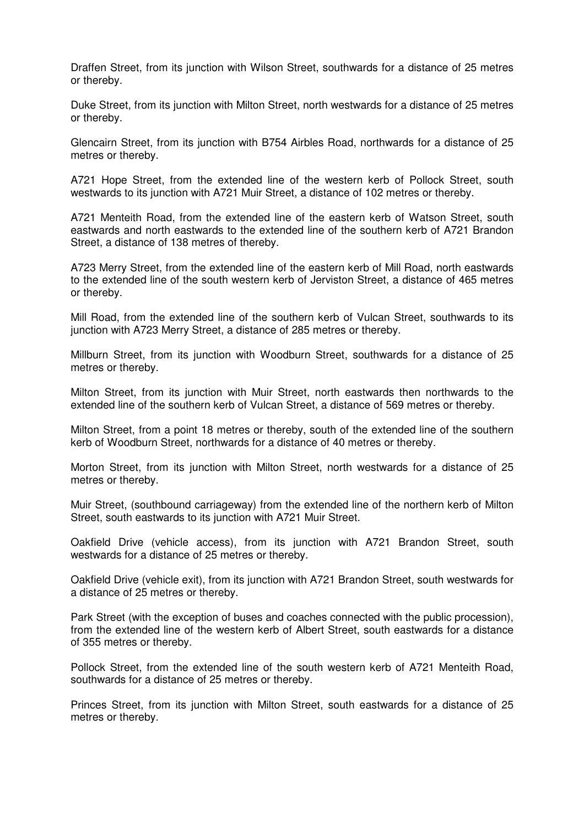Draffen Street, from its junction with Wilson Street, southwards for a distance of 25 metres or thereby.

Duke Street, from its junction with Milton Street, north westwards for a distance of 25 metres or thereby.

Glencairn Street, from its junction with B754 Airbles Road, northwards for a distance of 25 metres or thereby.

A721 Hope Street, from the extended line of the western kerb of Pollock Street, south westwards to its junction with A721 Muir Street, a distance of 102 metres or thereby.

A721 Menteith Road, from the extended line of the eastern kerb of Watson Street, south eastwards and north eastwards to the extended line of the southern kerb of A721 Brandon Street, a distance of 138 metres of thereby.

A723 Merry Street, from the extended line of the eastern kerb of Mill Road, north eastwards to the extended line of the south western kerb of Jerviston Street, a distance of 465 metres or thereby.

Mill Road, from the extended line of the southern kerb of Vulcan Street, southwards to its junction with A723 Merry Street, a distance of 285 metres or thereby.

Millburn Street, from its junction with Woodburn Street, southwards for a distance of 25 metres or thereby.

Milton Street, from its junction with Muir Street, north eastwards then northwards to the extended line of the southern kerb of Vulcan Street, a distance of 569 metres or thereby.

Milton Street, from a point 18 metres or thereby, south of the extended line of the southern kerb of Woodburn Street, northwards for a distance of 40 metres or thereby.

Morton Street, from its junction with Milton Street, north westwards for a distance of 25 metres or thereby.

Muir Street, (southbound carriageway) from the extended line of the northern kerb of Milton Street, south eastwards to its junction with A721 Muir Street.

Oakfield Drive (vehicle access), from its junction with A721 Brandon Street, south westwards for a distance of 25 metres or thereby.

Oakfield Drive (vehicle exit), from its junction with A721 Brandon Street, south westwards for a distance of 25 metres or thereby.

Park Street (with the exception of buses and coaches connected with the public procession), from the extended line of the western kerb of Albert Street, south eastwards for a distance of 355 metres or thereby.

Pollock Street, from the extended line of the south western kerb of A721 Menteith Road, southwards for a distance of 25 metres or thereby.

Princes Street, from its junction with Milton Street, south eastwards for a distance of 25 metres or thereby.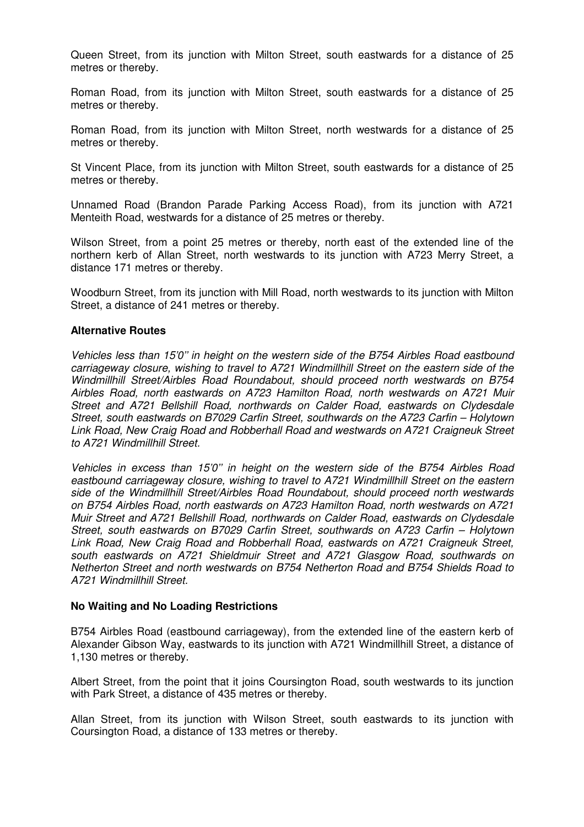Queen Street, from its junction with Milton Street, south eastwards for a distance of 25 metres or thereby.

Roman Road, from its junction with Milton Street, south eastwards for a distance of 25 metres or thereby.

Roman Road, from its junction with Milton Street, north westwards for a distance of 25 metres or thereby.

St Vincent Place, from its junction with Milton Street, south eastwards for a distance of 25 metres or thereby.

Unnamed Road (Brandon Parade Parking Access Road), from its junction with A721 Menteith Road, westwards for a distance of 25 metres or thereby.

Wilson Street, from a point 25 metres or thereby, north east of the extended line of the northern kerb of Allan Street, north westwards to its junction with A723 Merry Street, a distance 171 metres or thereby.

Woodburn Street, from its junction with Mill Road, north westwards to its junction with Milton Street, a distance of 241 metres or thereby.

#### **Alternative Routes**

Vehicles less than 15'0'' in height on the western side of the B754 Airbles Road eastbound carriageway closure, wishing to travel to A721 Windmillhill Street on the eastern side of the Windmillhill Street/Airbles Road Roundabout, should proceed north westwards on B754 Airbles Road, north eastwards on A723 Hamilton Road, north westwards on A721 Muir Street and A721 Bellshill Road, northwards on Calder Road, eastwards on Clydesdale Street, south eastwards on B7029 Carfin Street, southwards on the A723 Carfin – Holytown Link Road, New Craig Road and Robberhall Road and westwards on A721 Craigneuk Street to A721 Windmillhill Street.

Vehicles in excess than 15'0'' in height on the western side of the B754 Airbles Road eastbound carriageway closure, wishing to travel to A721 Windmillhill Street on the eastern side of the Windmillhill Street/Airbles Road Roundabout, should proceed north westwards on B754 Airbles Road, north eastwards on A723 Hamilton Road, north westwards on A721 Muir Street and A721 Bellshill Road, northwards on Calder Road, eastwards on Clydesdale Street, south eastwards on B7029 Carfin Street, southwards on A723 Carfin – Holytown Link Road, New Craig Road and Robberhall Road, eastwards on A721 Craigneuk Street, south eastwards on A721 Shieldmuir Street and A721 Glasgow Road, southwards on Netherton Street and north westwards on B754 Netherton Road and B754 Shields Road to A721 Windmillhill Street.

#### **No Waiting and No Loading Restrictions**

B754 Airbles Road (eastbound carriageway), from the extended line of the eastern kerb of Alexander Gibson Way, eastwards to its junction with A721 Windmillhill Street, a distance of 1,130 metres or thereby.

Albert Street, from the point that it joins Coursington Road, south westwards to its junction with Park Street, a distance of 435 metres or thereby.

Allan Street, from its junction with Wilson Street, south eastwards to its junction with Coursington Road, a distance of 133 metres or thereby.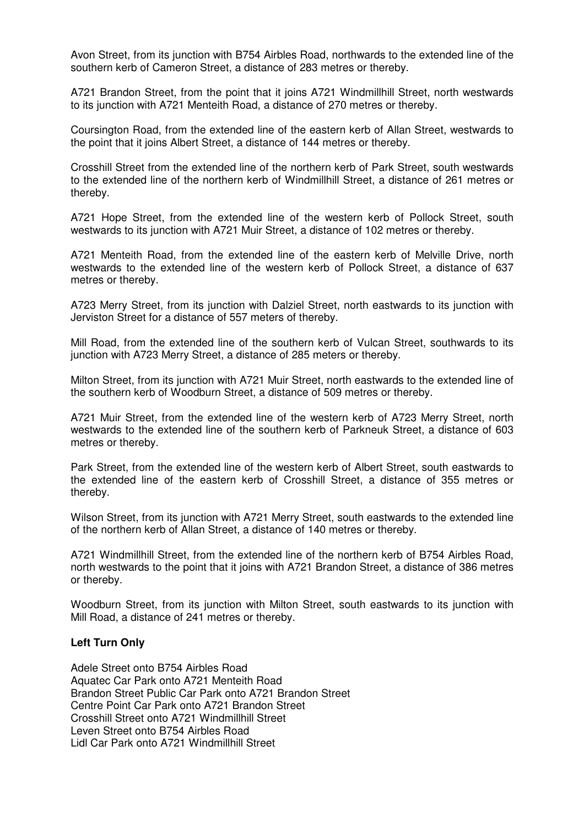Avon Street, from its junction with B754 Airbles Road, northwards to the extended line of the southern kerb of Cameron Street, a distance of 283 metres or thereby.

A721 Brandon Street, from the point that it joins A721 Windmillhill Street, north westwards to its junction with A721 Menteith Road, a distance of 270 metres or thereby.

Coursington Road, from the extended line of the eastern kerb of Allan Street, westwards to the point that it joins Albert Street, a distance of 144 metres or thereby.

Crosshill Street from the extended line of the northern kerb of Park Street, south westwards to the extended line of the northern kerb of Windmillhill Street, a distance of 261 metres or thereby.

A721 Hope Street, from the extended line of the western kerb of Pollock Street, south westwards to its junction with A721 Muir Street, a distance of 102 metres or thereby.

A721 Menteith Road, from the extended line of the eastern kerb of Melville Drive, north westwards to the extended line of the western kerb of Pollock Street, a distance of 637 metres or thereby.

A723 Merry Street, from its junction with Dalziel Street, north eastwards to its junction with Jerviston Street for a distance of 557 meters of thereby.

Mill Road, from the extended line of the southern kerb of Vulcan Street, southwards to its junction with A723 Merry Street, a distance of 285 meters or thereby.

Milton Street, from its junction with A721 Muir Street, north eastwards to the extended line of the southern kerb of Woodburn Street, a distance of 509 metres or thereby.

A721 Muir Street, from the extended line of the western kerb of A723 Merry Street, north westwards to the extended line of the southern kerb of Parkneuk Street, a distance of 603 metres or thereby.

Park Street, from the extended line of the western kerb of Albert Street, south eastwards to the extended line of the eastern kerb of Crosshill Street, a distance of 355 metres or thereby.

Wilson Street, from its junction with A721 Merry Street, south eastwards to the extended line of the northern kerb of Allan Street, a distance of 140 metres or thereby.

A721 Windmillhill Street, from the extended line of the northern kerb of B754 Airbles Road, north westwards to the point that it joins with A721 Brandon Street, a distance of 386 metres or thereby.

Woodburn Street, from its junction with Milton Street, south eastwards to its junction with Mill Road, a distance of 241 metres or thereby.

#### **Left Turn Only**

Adele Street onto B754 Airbles Road Aquatec Car Park onto A721 Menteith Road Brandon Street Public Car Park onto A721 Brandon Street Centre Point Car Park onto A721 Brandon Street Crosshill Street onto A721 Windmillhill Street Leven Street onto B754 Airbles Road Lidl Car Park onto A721 Windmillhill Street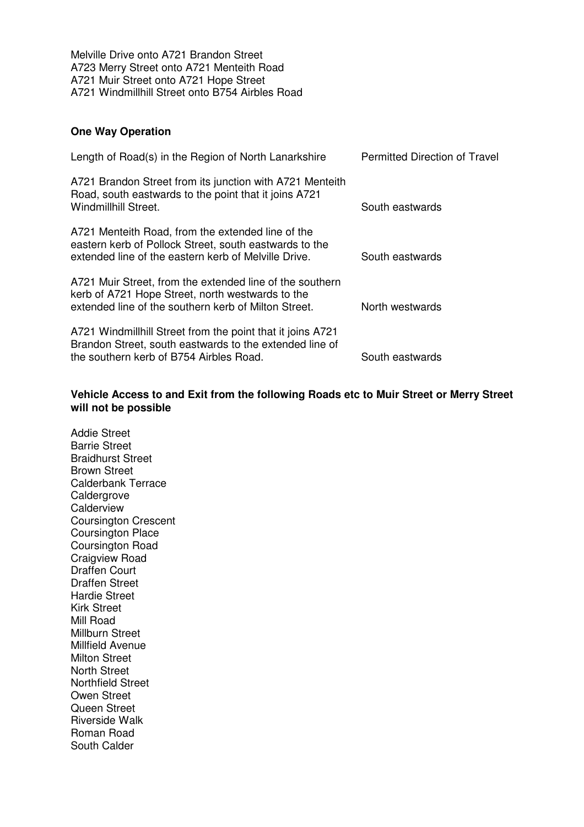Melville Drive onto A721 Brandon Street A723 Merry Street onto A721 Menteith Road A721 Muir Street onto A721 Hope Street A721 Windmillhill Street onto B754 Airbles Road

# **One Way Operation**

| Length of Road(s) in the Region of North Lanarkshire                                                                                                                 | Permitted Direction of Travel |
|----------------------------------------------------------------------------------------------------------------------------------------------------------------------|-------------------------------|
| A721 Brandon Street from its junction with A721 Menteith<br>Road, south eastwards to the point that it joins A721<br>Windmillhill Street.                            | South eastwards               |
| A721 Menteith Road, from the extended line of the<br>eastern kerb of Pollock Street, south eastwards to the<br>extended line of the eastern kerb of Melville Drive.  | South eastwards               |
| A721 Muir Street, from the extended line of the southern<br>kerb of A721 Hope Street, north westwards to the<br>extended line of the southern kerb of Milton Street. | North westwards               |
| A721 Windmillhill Street from the point that it joins A721<br>Brandon Street, south eastwards to the extended line of<br>the southern kerb of B754 Airbles Road.     | South eastwards               |

# **Vehicle Access to and Exit from the following Roads etc to Muir Street or Merry Street will not be possible**

Addie Street Barrie Street Braidhurst Street Brown Street Calderbank Terrace Caldergrove **Calderview** Coursington Crescent Coursington Place Coursington Road Craigview Road Draffen Court Draffen Street Hardie Street Kirk Street Mill Road Millburn Street Millfield Avenue Milton Street North Street Northfield Street Owen Street Queen Street Riverside Walk Roman Road South Calder